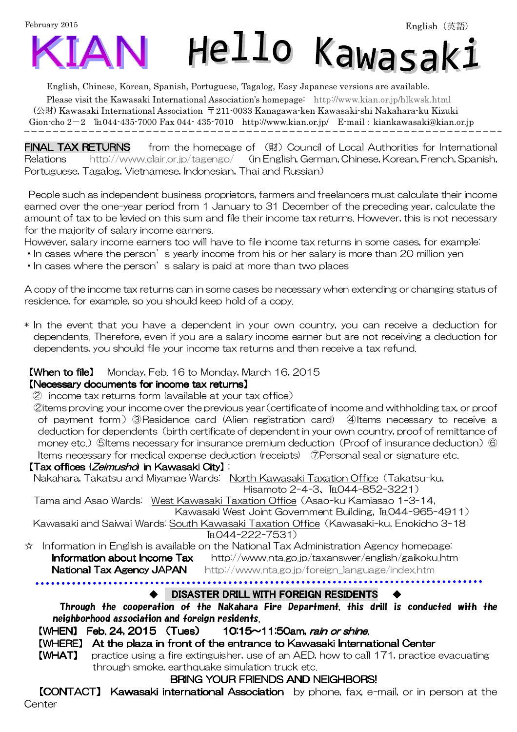February 2015



English, Chinese, Korean, Spanish, Portuguese, Tagalog, Easy Japanese versions are available.

Please visit the Kawasaki International Association's homepage: http://www.kian.or.jp/hlkwsk.html (公財) Kawasaki International Association 〒211-0033 Kanagawa-ken Kawasaki-shi Nakahara-ku Kizuki Gion-cho  $2-2$  
Eu044-435-7000 Fax 044-435-7010 http://www.kian.or.jp/ E-mail: kiankawasaki@kian.or.jp  $\overline{\phantom{a}}$ 

**FINAL TAX RETURNS** from the homepage of (財) Council of Local Authorities for International Relations http://www.clair.or.jp/tagengo/ (in English, German, Chinese, Korean, French, Spanish, Portuguese, Tagalog, Vietnamese, Indonesian, Thai and Russian)

 People such as independent business proprietors, farmers and freelancers must calculate their income earned over the one-year period from 1 January to 31 December of the preceding year, calculate the amount of tax to be levied on this sum and file their income tax returns. However, this is not necessary for the majority of salary income earners.

However, salary income earners too will have to file income tax returns in some cases, for example:

- In cases where the person's yearly income from his or her salary is more than 20 million yen
- In cases where the person's salary is paid at more than two places

A copy of the income tax returns can in some cases be necessary when extending or changing status of residence, for example, so you should keep hold of a copy.

\* In the event that you have a dependent in your own country, you can receive a deduction for dependents. Therefore, even if you are a salary income earner but are not receiving a deduction for dependents, you should file your income tax returns and then receive a tax refund.

## **【When to file】** Monday, Feb. 16 to Monday, March 16, 2015

#### 【Necessary documents for income tax returns 【Necessary documents for income tax returns Necessary income tax returns】

② income tax returns form (available at your tax office)

②items proving your income over the previous year(certificate of income and withholding tax, or proof of payment form)③Residence card (Alien registration card) ④Items necessary to receive a deduction for dependents (birth certificate of dependent in your own country, proof of remittance of money etc.) ⑤Items necessary for insurance premium deduction (Proof of insurance deduction) ⑥ Items necessary for medical expense deduction (receipts) ⑦Personal seal or signature etc.

#### 【Tax offices (*Zeimusho*) in Kawasaki City】 i

Nakahara, Takatsu and Miyamae Wards: North Kawasaki Taxation Office(Takatsu-ku, Hisamoto 2-4-3、℡044-852-3221)

Tama and Asao Wards: West Kawasaki Taxation Office(Asao-ku Kamiasao 1-3-14, Kawasaki West Joint Government Building, TEL044-965-4911)

Kawasaki and Saiwai Wards: South Kawasaki Taxation Office(Kawasaki-ku, Enokicho 3-18 TFI 044-222-7531)

☆ Information in English is available on the National Tax Administration Agency homepage: **Information about Income Tax** http://www.nta.go.jp/taxanswer/english/gaikoku.htm

National Tax Agency JAPAN http://www.nta.go.jp/foreign\_language/index.htm

DISASTER DRILL WITH FOREIGN RESIDENTS

Through the cooperation of the Nakahara Fire Department, this drill is conducted with the neighborhood association and foreign residents.

[WHEN] Feb. 24, 2015 (Tues) 10:15~11:50am, rain or shine.

#### 【WHERE】 At the plaza in front of the entrance to Kawasaki International Center

【WHAT】 practice using a fire extinguisher, use of an AED, how to call 171, practice evacuating through smoke, earthquake simulation truck etc.

## BRING YOUR FRIENDS AND NEIGHBORS!

**[CONTACT] Kawasaki international Association** by phone, fax, e-mail, or in person at the **Center**